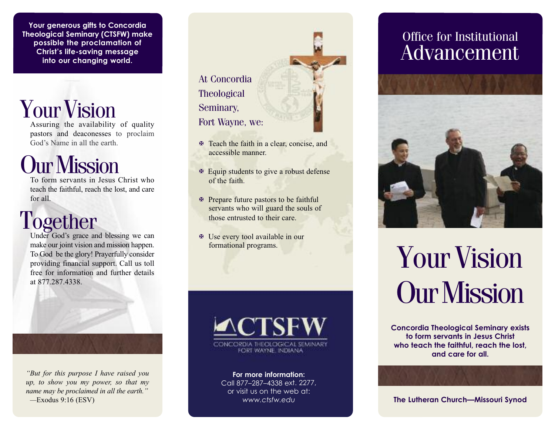**Your generous gifts to Concordia Theological Seminary (CTSFW) make possible the proclamation of Christ's life-saving message into our changing world.**

**Your Vision** 

Assuring the availability of quality pastors and deaconesses to proclaim God's Name in all the earth.

## Our Mission

To form servants in Jesus Christ who teach the faithful, reach the lost, and care for all.

### Together

Under God's grace and blessing we can make our joint vision and mission happen. To God be the glory! Prayerfully consider providing financial support. Call us toll free for information and further details at 877.287.4338.

*"But for this purpose I have raised you up, to show you my power, so that my*

*name may be proclaimed in all the earth." —*Exodus 9:16 (ESV)



- X Teach the faith in a clear, concise, and accessible manner.
- $\mathbb F$  Equip students to give a robust defense of the faith.
- X Prepare future pastors to be faithful servants who will guard the souls of those entrusted to their care.
- X Use every tool available in our formational programs.



**For more information:** Call 877–287–4338 ext. 2277, or visit us on the web at: *www.ctsfw.edu*

### Office for Institutional Advancement



# Your Vision **Our Mission**

**Concordia Theological Seminary exists to form servants in Jesus Christ who teach the faithful, reach the lost, and care for all.**

**The Lutheran Church—Missouri Synod**